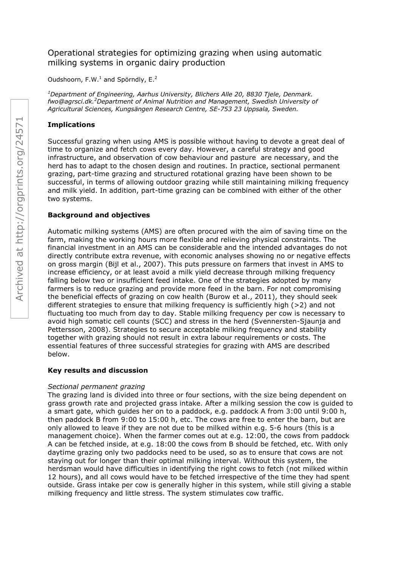# Operational strategies for optimizing grazing when using automatic milking systems in organic dairy production

Oudshoorn,  $F.W.<sup>1</sup>$  and Spörndly,  $E.<sup>2</sup>$ 

*<sup>1</sup>Department of Engineering, Aarhus University, Blichers Alle 20, 8830 Tjele, Denmark. fwo@agrsci.dk.<sup>2</sup>Department of Animal Nutrition and Management, Swedish University of Agricultural Sciences, Kungsängen Research Centre, SE-753 23 Uppsala, Sweden.* 

# **Implications**

Successful grazing when using AMS is possible without having to devote a great deal of time to organize and fetch cows every day. However, a careful strategy and good infrastructure, and observation of cow behaviour and pasture are necessary, and the herd has to adapt to the chosen design and routines. In practice, sectional permanent grazing, part-time grazing and structured rotational grazing have been shown to be successful, in terms of allowing outdoor grazing while still maintaining milking frequency and milk yield. In addition, part-time grazing can be combined with either of the other two systems.

## **Background and objectives**

Automatic milking systems (AMS) are often procured with the aim of saving time on the farm, making the working hours more flexible and relieving physical constraints. The financial investment in an AMS can be considerable and the intended advantages do not directly contribute extra revenue, with economic analyses showing no or negative effects on gross margin (Bijl et al., 2007). This puts pressure on farmers that invest in AMS to increase efficiency, or at least avoid a milk yield decrease through milking frequency falling below two or insufficient feed intake. One of the strategies adopted by many farmers is to reduce grazing and provide more feed in the barn. For not compromising the beneficial effects of grazing on cow health (Burow et al., 2011), they should seek different strategies to ensure that milking frequency is sufficiently high (>2) and not fluctuating too much from day to day. Stable milking frequency per cow is necessary to avoid high somatic cell counts (SCC) and stress in the herd (Svennersten-Sjaunja and Pettersson, 2008). Strategies to secure acceptable milking frequency and stability together with grazing should not result in extra labour requirements or costs. The essential features of three successful strategies for grazing with AMS are described below.

## **Key results and discussion**

## *Sectional permanent grazing*

The grazing land is divided into three or four sections, with the size being dependent on grass growth rate and projected grass intake. After a milking session the cow is guided to a smart gate, which guides her on to a paddock, e.g. paddock A from 3:00 until 9:00 h, then paddock B from 9:00 to 15:00 h, etc. The cows are free to enter the barn, but are only allowed to leave if they are not due to be milked within e.g. 5-6 hours (this is a management choice). When the farmer comes out at e.g. 12:00, the cows from paddock A can be fetched inside, at e.g. 18:00 the cows from B should be fetched, etc. With only daytime grazing only two paddocks need to be used, so as to ensure that cows are not staying out for longer than their optimal milking interval. Without this system, the herdsman would have difficulties in identifying the right cows to fetch (not milked within 12 hours), and all cows would have to be fetched irrespective of the time they had spent outside. Grass intake per cow is generally higher in this system, while still giving a stable milking frequency and little stress. The system stimulates cow traffic.